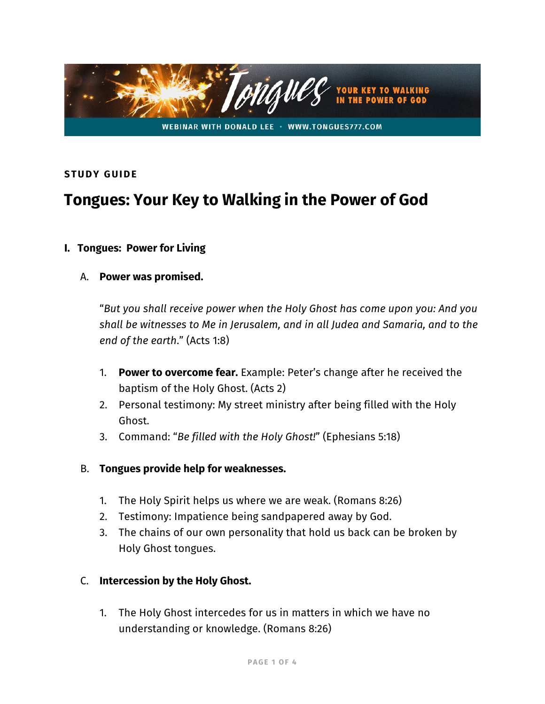

#### **STUDY GUIDE**

# **Tongues: Your Key to Walking in the Power of God**

#### **I. Tongues: Power for Living**

#### A. **Power was promised.**

"*But you shall receive power when the Holy Ghost has come upon you: And you shall be witnesses to Me in Jerusalem, and in all Judea and Samaria, and to the end of the earth*." (Acts 1:8)

- 1. **Power to overcome fear.** Example: Peter's change after he received the baptism of the Holy Ghost. (Acts 2)
- 2. Personal testimony: My street ministry after being filled with the Holy Ghost.
- 3. Command: "*Be filled with the Holy Ghost!*" (Ephesians 5:18)
- B. **Tongues provide help for weaknesses.**
	- 1. The Holy Spirit helps us where we are weak. (Romans 8:26)
	- 2. Testimony: Impatience being sandpapered away by God.
	- 3. The chains of our own personality that hold us back can be broken by Holy Ghost tongues.

#### C. **Intercession by the Holy Ghost.**

1. The Holy Ghost intercedes for us in matters in which we have no understanding or knowledge. (Romans 8:26)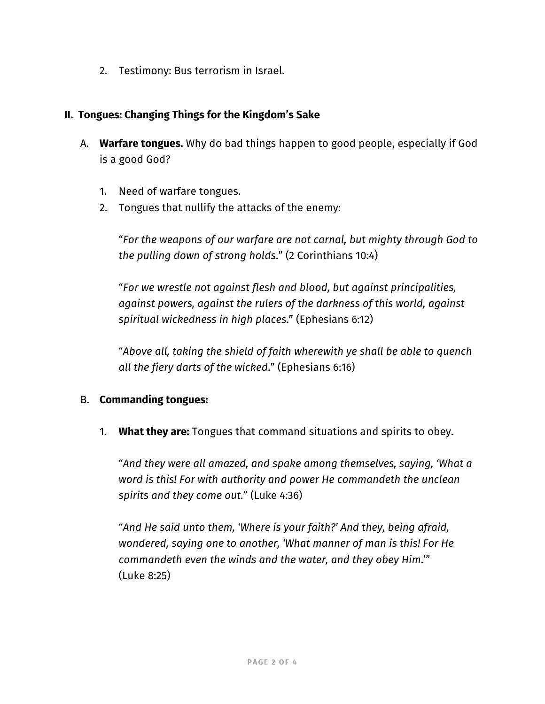2. Testimony: Bus terrorism in Israel.

#### **II. Tongues: Changing Things for the Kingdom's Sake**

- A. **Warfare tongues.** Why do bad things happen to good people, especially if God is a good God?
	- 1. Need of warfare tongues.
	- 2. Tongues that nullify the attacks of the enemy:

"*For the weapons of our warfare are not carnal, but mighty through God to the pulling down of strong holds*." (2 Corinthians 10:4)

"*For we wrestle not against flesh and blood, but against principalities, against powers, against the rulers of the darkness of this world, against spiritual wickedness in high places*." (Ephesians 6:12)

"*Above all, taking the shield of faith wherewith ye shall be able to quench all the fiery darts of the wicked*." (Ephesians 6:16)

# B. **Commanding tongues:**

1. **What they are:** Tongues that command situations and spirits to obey.

"*And they were all amazed, and spake among themselves, saying, 'What a word is this! For with authority and power He commandeth the unclean spirits and they come out.*" (Luke 4:36)

"*And He said unto them, 'Where is your faith?' And they, being afraid, wondered, saying one to another, 'What manner of man is this! For He commandeth even the winds and the water, and they obey Him*.'" (Luke 8:25)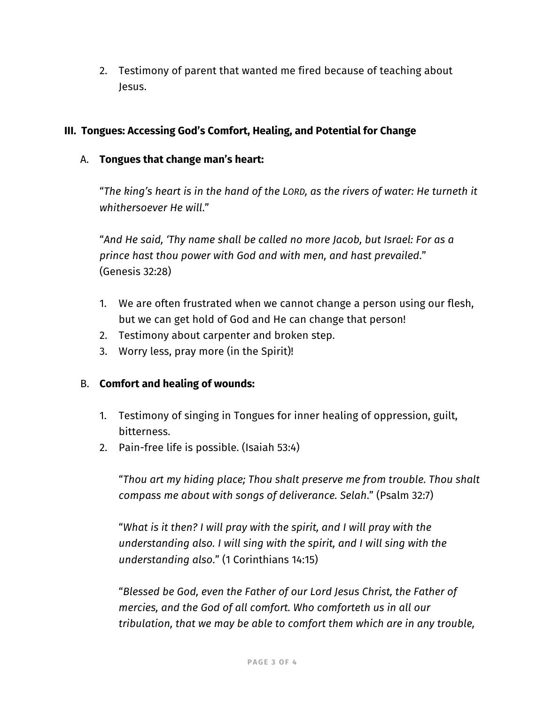2. Testimony of parent that wanted me fired because of teaching about Jesus.

# **III. Tongues: Accessing God's Comfort, Healing, and Potential for Change**

# A. **Tongues that change man's heart:**

"*The king's heart is in the hand of the LORD, as the rivers of water: He turneth it whithersoever He will*."

"*And He said, 'Thy name shall be called no more Jacob, but Israel: For as a prince hast thou power with God and with men, and hast prevailed*." (Genesis 32:28)

- 1. We are often frustrated when we cannot change a person using our flesh, but we can get hold of God and He can change that person!
- 2. Testimony about carpenter and broken step.
- 3. Worry less, pray more (in the Spirit)!

# B. **Comfort and healing of wounds:**

- 1. Testimony of singing in Tongues for inner healing of oppression, guilt, bitterness.
- 2. Pain-free life is possible. (Isaiah 53:4)

"*Thou art my hiding place; Thou shalt preserve me from trouble. Thou shalt compass me about with songs of deliverance. Selah*." (Psalm 32:7)

"*What is it then? I will pray with the spirit, and I will pray with the understanding also. I will sing with the spirit, and I will sing with the understanding also*." (1 Corinthians 14:15)

"*Blessed be God, even the Father of our Lord Jesus Christ, the Father of mercies, and the God of all comfort. Who comforteth us in all our tribulation, that we may be able to comfort them which are in any trouble,*